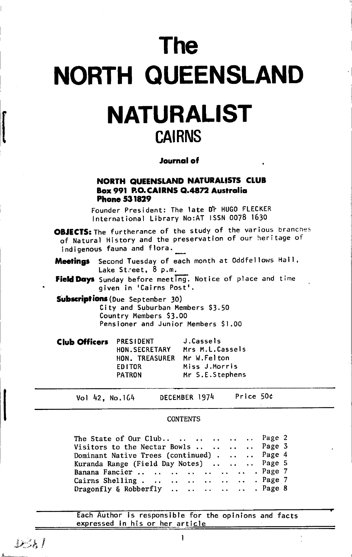# **The NORTH QUEENSLAND NATURALIST**

# **CAIRNS**

### Journal of

### NORTH QUEENSLAND NATURALISTS CLUB **Box 991 P.O. CAIRNS Q.4872 Australia Phone 531829**

Founder President: The late Dr HUGO FLECKER International Library No:AT ISSN 0078 1630

**OBJECTS:** The furtherance of the study of the various branches of Natural History and the preservation of our heritage of indigenous fauna and flora.

Second Tuesday of each month at Oddfellows Hall, **Meetinas** Lake Street, 8 p.m.

Field Days Sunday before meeting. Notice of place and time given in 'Cairns Post'.

Subscriptions (Due September 30) City and Suburban Members \$3.50 Country Members \$3.00 Pensioner and Junior Members \$1.00

| <b>Club Officers</b> | PRESIDENT      | J.Cassels       |  |  |  |  |
|----------------------|----------------|-----------------|--|--|--|--|
|                      | HON.SECRETARY  | Mrs M.L.Cassels |  |  |  |  |
|                      | HON. TREASURER | Mr W.Felton     |  |  |  |  |
|                      | <b>EDITOR</b>  | Miss J.Morris   |  |  |  |  |
|                      | <b>PATRON</b>  | Mr S.E.Stephens |  |  |  |  |

Price 50¢ DECEMBER 1974 Vol 42, No.164

#### **CONTENTS**

| The State of Our Club Page 2                                   |  |  |  |  |
|----------------------------------------------------------------|--|--|--|--|
| Visitors to the Nectar Bowls $\ldots$ $\ldots$ $\ldots$ Page 3 |  |  |  |  |
| Dominant Native Trees (continued).  Page 4                     |  |  |  |  |
| Kuranda Range (Field Day Notes)  Page 5                        |  |  |  |  |
|                                                                |  |  |  |  |
| Cairns Shelling.      . Page 7                                 |  |  |  |  |
| Dragonfly $\xi$ Robberfly   Page 8                             |  |  |  |  |
|                                                                |  |  |  |  |

Each Author is responsible for the opinions and facts expressed in his or her article

1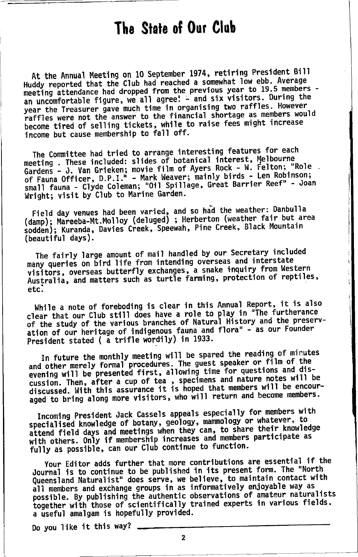# The State of Our Club

At the Annual Meeting on 10 September 1974, retiring President Bill Huddy reported that the Club had reached a somewhat low ebb. Average meeting attendance had dropped from the previous year to 19.5 members an uncomfortable figure, we all agree! - and six visitors. During the year the Treasurer gave much time in organising two raffles. However raffles were not the answer to the financial shortage as members would become tired of selling tickets. while to raise fees might increase income but cause membership to fall off.

The Committee had tried to arrange interesting features for each meeting. These included: slides of botanical interest, Melbourne Gardens - J. Van Grieken; movie film of Ayers Rock - W. Felton; "Role of Fauna Officer, D.P.I." - Mark Weaver; mainly birds - Len Robinson; small fauna - Clyde Coleman; "Oil Spillage, Great Barrier Reef" - Joan Wright; visit by Club to Marine Garden.

Field day venues had been varied, and so had the weather: Danbulla (damp); Mareeba-Mt.Molloy (deluged) ; Herberton (weather fair but area sodden); Kuranda, Davies Creek, Speewah, Pine Creek, Black Mountain (beautiful days).

The fairly large amount of mail handled by our Secretary included many queries on bird life from intending overseas and interstate visitors, overseas butterfly exchanges, a snake inquiry from Western Australia, and matters such as turtle farming, protection of reptiles,  $etc.$ 

While a note of foreboding is clear in this Annual Report, it is also clear that our Club still does have a role to play in "The furtherance of the study of the various branches of Natural History and the preservation of our heritage of indigenous fauna and flora" - as our Founder President stated ( a trifle wordily) in 1933.

In future the monthly meeting will be spared the reading of minutes and other merely formal procedures. The guest speaker or film of the evening will be presented first, allowing time for questions and discussion. Then, after a cup of tea, specimens and nature notes will be discussed. With this assurance it is hoped that members will be encouraged to bring along more visitors, who will return and become members.

Incoming President Jack Cassels appeals especially for members with specialised knowledge of botany, geology, mammology or whatever, to attend field days and meetings when they can, to share their knowledge with others. Only if membership increases and members participate as fully as possible, can our Club continue to function.

Your Editor adds further that more contributions are essential if the Journal is to continue to be published in its present form. The "North Queensland Naturalist" does serve, we believe, to maintain contact with<br>all members and exchange groups in as informatively enjoyable way as possible. By publishing the authentic observations of amateur naturalists together with those of scientifically trained experts in various fields. a useful amalgam is hopefully provided.

Do you like it this way?

 $\overline{2}$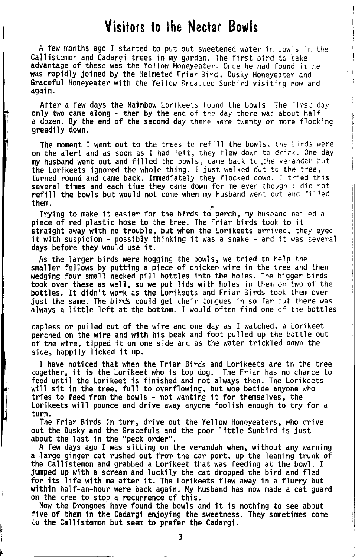### Visifors to fhe Nectar Bowls

A few months ago I started to put out sweetened water in bowls in the Callistemon and Cadargi trees in my garden. The first bird to take advantage of these was the Yellow Honeyeater. Once he had found it he was rapidly joined by the Helmeted Friar Bird, Dusky Honeyeater and Graceful Honeyeater with the Yellow Breasted Sunbird visiting now and again.

After a few days the Rainbow Lorikeets found the bowls line first day only two came along  $-$  then by the end of the day there was about half a dozen. By the end of the second day there were twenty or more flocking greedily down.

The moment I went out to the trees to refill the bowls, the tirds were on the alert and as soon as I had left, they flew down to drink. One day my husband went out and filled the bowls, came back to the verandah but the Lorikeets ignored the whole thing. I just walked out to the tree, turned round and came back. Immediately they flocked down. I tried this several times and each time they came down for me even though i did not refill the bowls but would not come when my husband went out and filled them.

Trying to make it easier for the birds to perch, my husband nailed a piece of red plastic hose to the tree. The Friar birds took to it<br>straight away with no trouble, but when the Lorikeets arrived, they eyed it with suspicion - possibly thinking it was a snake - and it was several days before they wou'ld use it.

As the larger birds were hogging the bowls, we tried to help the smaller fellows by putting a piece of chicken wire in the tree and then wedging four small necked pill bottles into the holes. The bigger birds took over these as well, so we put lids with holes in them on two of the bottles. It didn't work as the Lorikeets and Friar Birds took them over<br>just the same. The birds could get their tongues in so far but there was always a little left at the bottom. I would often find one of the bottles

capless or pulled out of the wire and one day as I watched, a Lorikeet perched on the wire and with his beak and foot pulled up the bottle out of the wire, tipped it on one side and as the water trickled down the side, happily licked it up.

I have noticed that when the Friar Birds and Lorikeets are in the tree together, it is the Lorikeet who is top dog. The Friar has no chance to feed until the Lorikeet is finished and not always then. The Lorikeets will sit in the tree, full to overflowing, but woe betide anyone who tries to feed from the bowls - not wanting it for themselves, the Lorikeets will pounce and drive away anyone foolish enough to try for a turn.

The Friar Birds in turn, drive out the Yellow Honeyeaters, who drive out the Dusky and the Gracefuls and the poor little Sunbird is just about the last in the "peck order".

A few days ago I was sitting on the verandah when, without any warning a large ginger cat rushed out from the car port, up the leaning trunk of the Callistemon and grabbed a Lorikeet that was feeding at the bowl. I jumped up with a scream and luckily the cat dropped the bird and fled<br>for its life with me after it. The Lorikeets flew away in a flurry but within half-an-hour were back again. My husband has now made a cat guard on the tree to stop a recurrence of this.

Now the Drongoes have found the bowls and it is nothing to see about five of them in the Cadargi enjoying the sweetness. They sometimes come to the Callistemon but seem to prefer the Cadargi.

3

t\_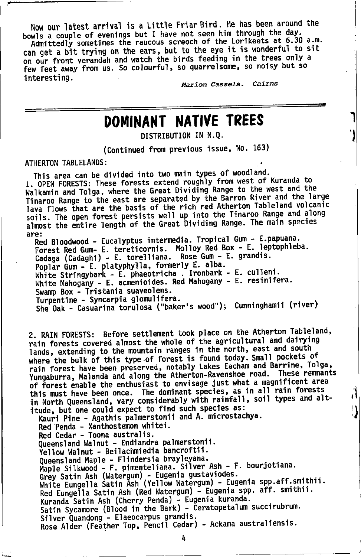Now our latest arrival is a Little Friar Bird. He has been around the bowls a couple of evenings but I have not seen him through the day. Admittedly sometimes the raucous screech of the Lorikeets at 6.30 a.m. can get a bit trying on the ears, but to the eye it is wonderful to sit on our front verandah and watch the birds feeding in the trees only a few feet away from us. So colourful, so quarrelsome, so noisy but so interesting.

Marion Cassels. Cairns

# DOMINANT NATIVE TREES

DISTRIBUTION IN N.Q.

(Continued from previous issue, No. 163)

#### **ATHERTON TABLELANDS:**

This area can be divided into two main types of woodland. 1. OPEN FORESTS: These forests extend roughly from west of Kuranda to Walkamin and Tolga, where the Great Dividing Range to the west and the Tinaroo Range to the east are separated by the Barron River and the large lava flows that are the basis of the rich red Atherton Tableland volcanic soils. The open forest persists well up into the Tinaroo Range and along almost the entire length of the Great Dividing Range. The main species are:

Red Bloodwood - Eucalyptus intermedia. Tropical Gum - E.papuana. Forest Red Gum- E. tereticornis. Molloy Red Box - E. leptophleba.<br>Cadaga (Cadaghi) - E. torelliana. Rose Gum - E. grandis. Poplar Gum - E. platyphylla, formerly E. alba. White Stringybark - E. phaeotricha . Ironbark - E. culleni.<br>White Mahogany - E. acmenioides. Red Mahogany - E. resinifera. Swamp Box - Tristania suaveolens. Turpentine - Syncarpia glomulifera. She Oak - Casuarina torulosa ("baker's wood"); Cunninghamii (river)

2. RAIN FORESTS: Before settlement took place on the Atherton Tableland, rain forests covered almost the whole of the agricultural and dairying lands, extending to the mountain ranges in the north, east and south where the bulk of this type of forest is found today. Small pockets of rain forest have been preserved, notably Lakes Eacham and Barrine, Tolga, Yungaburra, Malanda and along the Atherton-Ravenshoe road. These remnants of forest enable the enthusiast to envisage just what a magnificent area this must have been once. The dominant species, as in all rain forests in North Queensland, vary considerably with rainfall, soil types and altitude, but one could expect to find such species as:

 $\mathbf{J}$ 

Kauri Pine - Agathis palmerstonii and A. microstachya. Red Penda - Xanthostemon whitei. Red Cedar - Toona australis. Queensland Walnut - Endiandra palmerstonii. Yellow Walnut - Beilachmiedia bancroftii. Queensland Maple - Flindersia brayleyana.<br>Maple Silkwood - F. pimenteliana. Silver Ash - F. bourjotiana. Grey Satin Ash (Watergum) - Eugenia gustaviodes.<br>White Eungella Satin Ash (Yellow Watergum) - Eugenia spp.aff.smithii. Red Eungella Satin Ash (Red Watergum) - Eugenia spp. aff. smithii. Kuranda Satin Ash (Cherry Penda) - Eugenia kuranda. Satin Sycamore (Blood in the Bark) - Ceratopetalum succirubrum. Silver Quandong - Elaeocarpus grandis. Rose Alder (Feather Top, Pencil Cedar) - Ackama australiensis.

4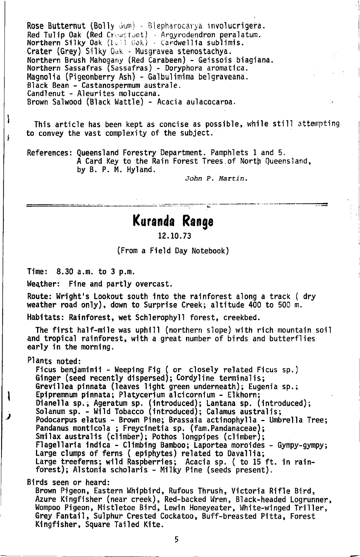Rose Butternut (Bolly Gum) - 8lepharocarya involucrigera. Red Tulip Oak (Red Crowsfoot) - Argyrodendron peralatum. Northern Silky Oak (ELII Cak) - Cardwellia sublimis. Crater (Grey) Silky Oak - Musgravea stenostachya. Northern Brush Mahogany (Red Carabeen) - Geissois biagiana. Northern Sassafras (sassafras) - Doryphora aromatica. Magnolia (Pigeonberry Ash) - Galbulimima belgraveana. Black Bean - Castanospermum australe. Candlenut - Aleurites noluccana. Brown Salwood (Black Wattle) - Acacia aulacocarpa.

This article has been kept as concise as possible, while still attempting to convey the vast complexity of the subiect.

References : Queensland Forestry Department. Pamphlets 1 and 5. A Card Key to the Rain Forest Trees of North Queensland, by B. P. M. Hyl and.

John P. Martin.

Kuranda Range

L2.t0.73

(From a Field Day Notebook)

Time: 8.30 a.m. to 3 p.m.

Weather: Fine and partly overcast.

Route: Wright's Lookout south into the rainforest along a track ( dry weather road only), down to Surprise Creek; altitude 400 to 500 m.

Habitats: Rainforest, wet Schlerophyll forest, creekbed.

The first half-mile was uphill (northern slope) with rich mountain soil and tropical rainforest, with a great number of birds and butterflies early in the morning.

#### Plants noted:

.)

ì

Í

Ficus benjaminii - Weeping Fig ( or closely related Ficus sp.) Ginger (seed recently dispersed); Cordyline terminalis; Grevillea pinnata (leaves light green underneath); Eugenia sp.; Epipremnum pinnata; Platycerium alcicornium - Elkhorn: Dianella sp.; Ageratum sp. (introduced); Lantana sp. (introduced); Solanum sp. - Wild Tobacco (introduced); Calamus australis; Podocarpus elatus - Brown Pine; Brassaia actinophylla - Umbrella Tree; Pandanus monticola; Freycinetia sp. (fam.Pandanaceae); Smilax australls (climber); Pothos longpipes (climber); Flagellarla lndlca - Climblng Bamboo; Laportea moroides - Gympy-gympy; Large clumps of ferns ( epiphytes) related to Davallia; Large treeferns; wild Raspberries; Acacla sp. ( to 15 ft. in rain- forest); Alstonia scholaris - Ml'lky Plne (seeds present).

Birds seen or heard:

Brown Pigeon, Eastern Whipbird, Rufous Thrush, Victoria Rifle Bird, Azure Kingfisher (near creek), Red-backed Wren, Black-headed Logrunner, Mompoo Pigeon, Mistletoe Bird, Lewin Honeyeater, White-winged Triller, Grey Fantail, Sulphur Crested Cockatoo, Buff-breasted Pitta, Forest Kingfisher, Square Tailed Kite.

5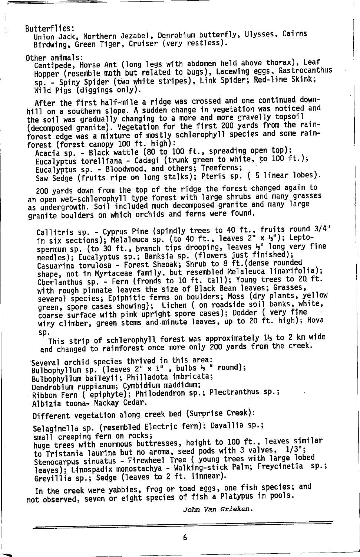**Butterflies:** 

Union Jack, Northern Jezabel, Denrobium butterfly, Ulysses, Cairns Birdwing, Green Tiger, Cruiser (very restless).

Other animals:

Centipede, Horse Ant (long legs with abdomen held above thorax), Leaf Hopper (resemble moth but related to bugs), Lacewing eggs, Gastrocanthus sp. - Spiny Spider (two white stripes). Link Spider; Red-line Skink; Wild Pigs (diggings only).

After the first half-mile a ridge was crossed and one continued downhill on a southern slope. A sudden change in vegetation was noticed and the soil was gradually changing to a more and more gravelly topsoil (decomposed granite). Vegetation for the first 200 yards from the rainforest edge was a mixture of mostly schlerophyll species and some rainforest (forest canopy 100 ft. high):

Acacia sp. - Black wattle (80 to 100 ft., spreading open top); Eucalyptus torelliana - Cadagi (trunk green to white, to 100 ft.); Eucalyptus sp. - Bloodwood, and others; Treeferns; Saw Sedge (fruits ripe on long stalks); Pteris sp. ( 5 linear lobes).

200 yards down from the top of the ridge the forest changed again to an open wet-schlerophyll type forest with large shrubs and many grasses as undergrowth. Soil included much decomposed granite and many large granite boulders on which orchids and ferns were found.

Callitris sp. - Cyprus Pine (spindly trees to 40 ft., fruits round  $3/4$ " in six sections); Melaleuca sp. (to 40 ft., leaves 2" x  $\frac{1}{2}$ "); Leptospermum sp. (to 30 ft., branch tips drooping, leaves 1/2" long very fine needles); Eucalyptus sp.; Banksia sp. (flowers just finished); Casuarina torulosa - Forest Sheoak; Shrub to 8 ft. (dense rounded shape, not in Myrtaceae family, but resembled Melaleuca linarifolia); Cherlanthus sp. - Fern (fronds to 10 ft. tall); Young trees to 20 ft. with rough pinnate leaves the size of Black Bean leaves; Grasses, several species; Epiphitic ferns on boulders; Moss (dry plants, yellow<br>green, spore cases showing); Lichen ( on roadside soil banks, white, coarse surface with pink upright spore cases); Dodder ( very fine wiry climber, green stems and minute leaves, up to 20 ft. high); Hoya sp.

This strip of schlerophyll forest was approximately 1<sup>12</sup> to 2 km wide and changed to rainforest once more only 200 vards from the creek.

Several orchid species thrived in this area: Bulbophyllum sp. (leaves 2" x 1", bulbs 2" round); Bulbophyllum baileyii; Philladota imbricata; Dendrobium ruppianum; Cymbidium maddidum; Ribbon Fern ( epiphyte); Philodendron sp.; Plectranthus sp.; Albizia toona- Mackay Cedar.

Different vegetation along creek bed (Surprise Creek):

Selaginella sp. (resembled Electric fern); Davallia sp.; small creeping fern on rocks;

huge trees with enormous buttresses, height to 100 ft., leaves similar to Tristania laurina but no aroma, seed pods with 3 valves,  $1/3^n$ ; Stenocarpus sinuatus - Firewheel Tree ( young trees with large lobed leaves); Linospadix monostachya - Walking-stick Palm; Freycinetia sp.; Grevillia sp.; Sedge (leaves to 2 ft. linnear).

In the creek were yabbies, frog or toad eggs, one fish species; and not observed, seven or eight species of fish a Platypus in pools.

John Van Grieken.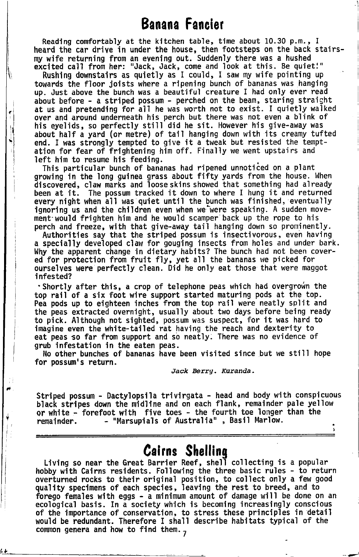## **Banana Fancier**

Reading comfortably at the kitchen table, time about  $10.30$  p.m., I heard the car drive in under the house, then footsteps on the back stairsmy wife returning from an evening out. Suddenly there was a hushed excited call from her: "Jack, Jack, come and look at this. Be quiet!"

Rushing downstairs as quietly as I could, I saw my wife pointing up towards the floor ioists where a ripening bunch of bananas was hanging up. Just above the bunch was a beautiful creature I had only ever read about before - a striped possum - perched on the beam, staring straight at us and pretending for all he was worth not to exist. I quietly walked over and around underneath his perch but there was not even a blink of his eyelids, so perfectly still did he sit. However his give-away was about half a yard (or metre) of tail hanging down with its creamy tufted end. I was strongly tempted to give it a tweak but resisted the temptation for fear of frightening him off. Finally we went upstairs and left him to resume his feeding.

1l

I

1i

This particular bunch of bananas had ripened unnoticed on a plant growing in the long guinea grass about fifty yards from the house. When discovered, claw marks and loose skins showed that something had already been at it. The possum tracked it down to where I hung it and returned every night when all was quiet until the bunch was finished, eventually ignoring us and the children even when we were speaking. A sudden movement'would frighten him and he would scamper back up the rope to his perch and freeze, with that give-away tail hanging down so prominently.

Authorities say that the striped possum is insectivorous, even having a specially developed claw for gouging insects from holes and under bark. Why the apparent change in dietary habits? The bunch had not been covered for protection from fruit fly, yet all the bananas we picked for ourselves were perfectly c'lean. Did he only eat those that were maggot infested?

'Shortly after this, a crop of telephone peas which had overgrown the top rail of a six foot wire support started maturing pods at the top. Pea pods up to eighteen inches from the top rail were neatly split and the peas extracted overnlght, usually about two days before being ready to pick. Although not sighted, possum was suspect, for it was hard to imagine even the white-tailed rat having the reach and dexterity to eat peas so far from support and so neatly. There was no evidence of grub infestation in the eaten peas.

No other bunches of bananas have been visited since but we still hope for possun's return.

Jack Berry. Kuranda.

Striped possum - Dactylopsila trivirgata - head and body with conspicuous black stripes down the midline and on each flank, remainder pale yellow or white - forefoot with five toes - the fourth toe longer than the<br>remainder. - "Marsupials of Australia", Basil Marlow. remainder.

### Ceirns Shelling

Living so near the Great Barrier Reef, shell collecting is a popular hobby with Cairns residents. Following the three basic rules - to return overturned rocks to their original position, to collect only a few good quality specimens of each species, leaving the rest to breed, and to forego females with eggs - a minimum amount of damage will be done on an ecological basis. In a society which is becoming increasingly conscious of the lmportance of conservation, to stress these principles in detail would be redundant. Therefore I shall describe habitats typical of the common genera and how to find them.,